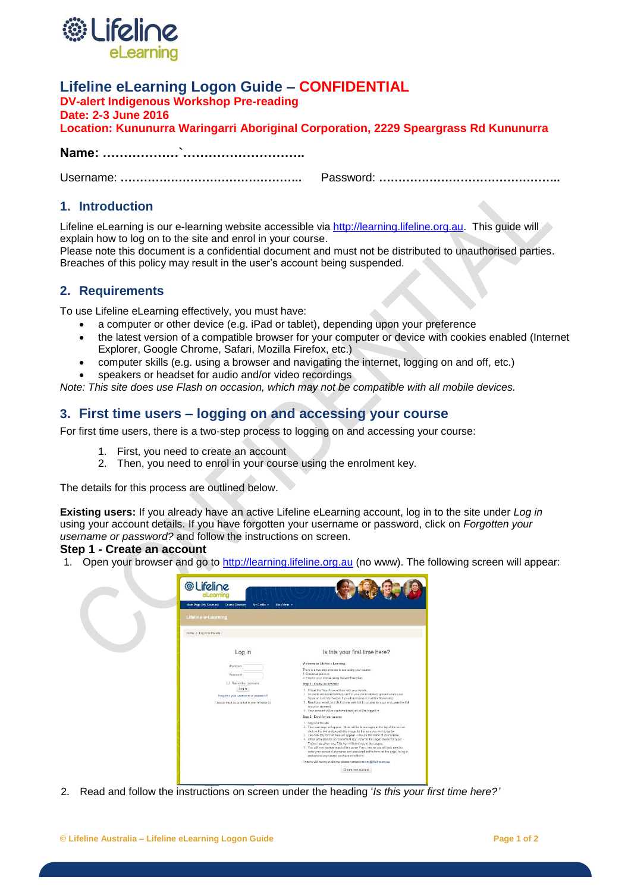

# **Lifeline eLearning Logon Guide – CONFIDENTIAL**

**DV-alert Indigenous Workshop Pre-reading**

**Date: 2-3 June 2016**

|  |  |  | Location: Kununurra Waringarri Aboriginal Corporation, 2229 Speargrass Rd Kununurra |
|--|--|--|-------------------------------------------------------------------------------------|
|--|--|--|-------------------------------------------------------------------------------------|

**Name: ………………`………………………..**

Username: **………………………………………..** Password: **………………………………………..**

### **1. Introduction**

Lifeline eLearning is our e-learning website accessible via [http://learning.lifeline.org.au.](http://learning.lifeline.org.au/) This quide will explain how to log on to the site and enrol in your course.

Please note this document is a confidential document and must not be distributed to unauthorised parties. Breaches of this policy may result in the user's account being suspended.

## **2. Requirements**

To use Lifeline eLearning effectively, you must have:

- a computer or other device (e.g. iPad or tablet), depending upon your preference
- the latest version of a compatible browser for your computer or device with cookies enabled (Internet Explorer, Google Chrome, Safari, Mozilla Firefox, etc.)
- computer skills (e.g. using a browser and navigating the internet, logging on and off, etc.)
- speakers or headset for audio and/or video recordings

*Note: This site does use Flash on occasion, which may not be compatible with all mobile devices.* 

# **3. First time users – logging on and accessing your course**

For first time users, there is a two-step process to logging on and accessing your course:

- 1. First, you need to create an account
- 2. Then, you need to enrol in your course using the enrolment key.

The details for this process are outlined below.

**Existing users:** If you already have an active Lifeline eLearning account, log in to the site under *Log in* using your account details. If you have forgotten your username or password, click on *Forgotten your username or password?* and follow the instructions on screen.

### **Step 1 - Create an account**

1. Open your browser and go to [http://learning.lifeline.org.au](http://learning.lifeline.org.au/) (no www). The following screen will appear:



2. Read and follow the instructions on screen under the heading '*Is this your first time here?'*